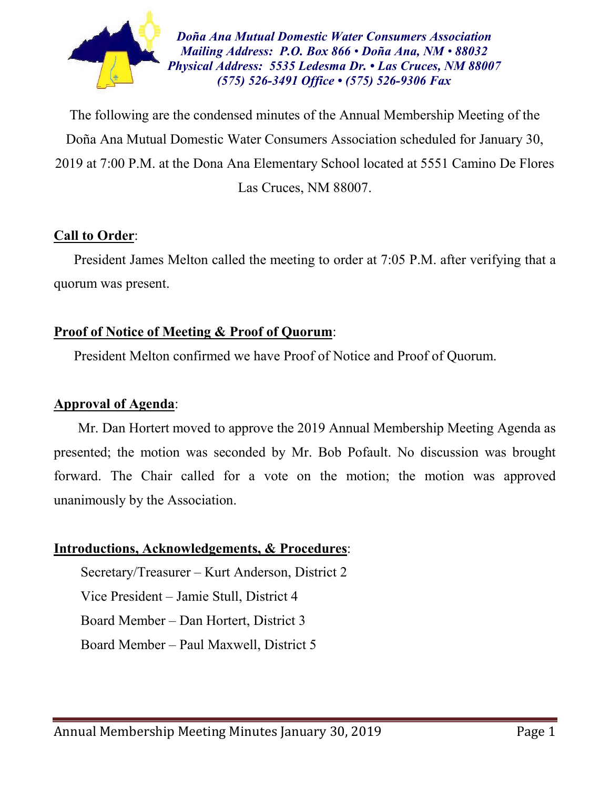

*Doña Ana Mutual Domestic Water Consumers Association Mailing Address: P.O. Box 866 • Doña Ana, NM • 88032 Physical Address: 5535 Ledesma Dr. • Las Cruces, NM 88007 (575) 526-3491 Office • (575) 526-9306 Fax*

The following are the condensed minutes of the Annual Membership Meeting of the Doña Ana Mutual Domestic Water Consumers Association scheduled for January 30, 2019 at 7:00 P.M. at the Dona Ana Elementary School located at 5551 Camino De Flores Las Cruces, NM 88007.

## **Call to Order**:

President James Melton called the meeting to order at 7:05 P.M. after verifying that a quorum was present.

### **Proof of Notice of Meeting & Proof of Quorum**:

President Melton confirmed we have Proof of Notice and Proof of Quorum.

#### **Approval of Agenda**:

 Mr. Dan Hortert moved to approve the 2019 Annual Membership Meeting Agenda as presented; the motion was seconded by Mr. Bob Pofault. No discussion was brought forward. The Chair called for a vote on the motion; the motion was approved unanimously by the Association.

#### **Introductions, Acknowledgements, & Procedures**:

Secretary/Treasurer – Kurt Anderson, District 2 Vice President – Jamie Stull, District 4 Board Member – Dan Hortert, District 3 Board Member – Paul Maxwell, District 5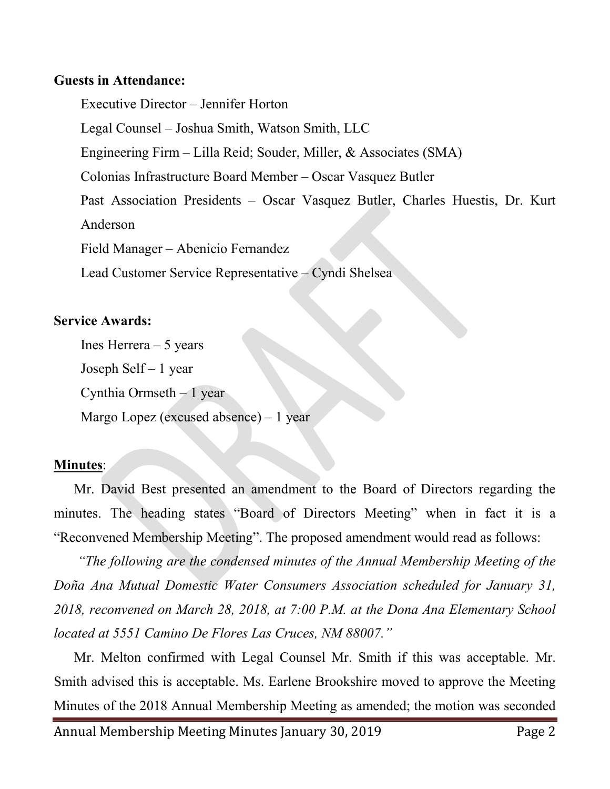#### **Guests in Attendance:**

Executive Director – Jennifer Horton Legal Counsel – Joshua Smith, Watson Smith, LLC Engineering Firm – Lilla Reid; Souder, Miller, & Associates (SMA) Colonias Infrastructure Board Member – Oscar Vasquez Butler Past Association Presidents – Oscar Vasquez Butler, Charles Huestis, Dr. Kurt Anderson Field Manager – Abenicio Fernandez Lead Customer Service Representative – Cyndi Shelsea

### **Service Awards:**

Ines Herrera  $-5$  years Joseph Self – 1 year Cynthia Ormseth  $-1$  year Margo Lopez (excused absence) – 1 year

# **Minutes**:

Mr. David Best presented an amendment to the Board of Directors regarding the minutes. The heading states "Board of Directors Meeting" when in fact it is a "Reconvened Membership Meeting". The proposed amendment would read as follows:

*"The following are the condensed minutes of the Annual Membership Meeting of the Doña Ana Mutual Domestic Water Consumers Association scheduled for January 31, 2018, reconvened on March 28, 2018, at 7:00 P.M. at the Dona Ana Elementary School located at 5551 Camino De Flores Las Cruces, NM 88007."*

Mr. Melton confirmed with Legal Counsel Mr. Smith if this was acceptable. Mr. Smith advised this is acceptable. Ms. Earlene Brookshire moved to approve the Meeting Minutes of the 2018 Annual Membership Meeting as amended; the motion was seconded

Annual Membership Meeting Minutes January 30, 2019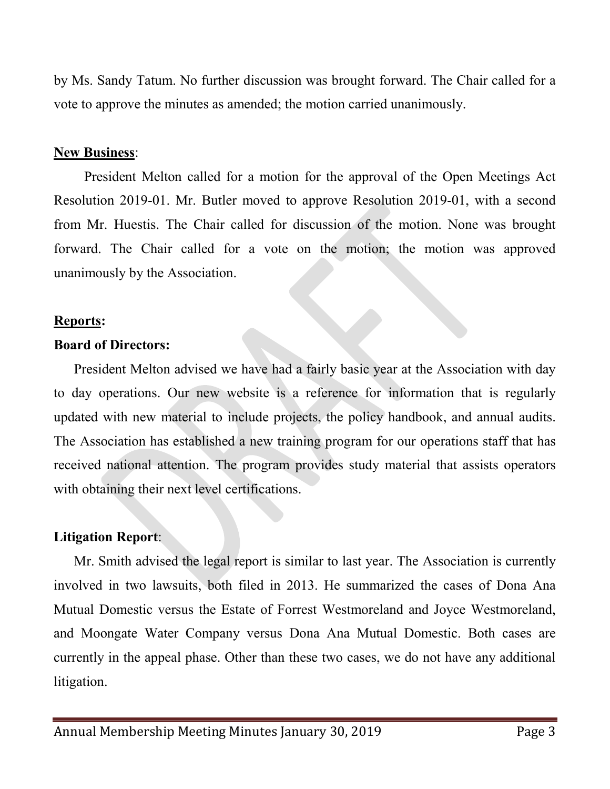by Ms. Sandy Tatum. No further discussion was brought forward. The Chair called for a vote to approve the minutes as amended; the motion carried unanimously.

#### **New Business**:

 President Melton called for a motion for the approval of the Open Meetings Act Resolution 2019-01. Mr. Butler moved to approve Resolution 2019-01, with a second from Mr. Huestis. The Chair called for discussion of the motion. None was brought forward. The Chair called for a vote on the motion; the motion was approved unanimously by the Association.

### **Reports:**

### **Board of Directors:**

President Melton advised we have had a fairly basic year at the Association with day to day operations. Our new website is a reference for information that is regularly updated with new material to include projects, the policy handbook, and annual audits. The Association has established a new training program for our operations staff that has received national attention. The program provides study material that assists operators with obtaining their next level certifications.

## **Litigation Report**:

Mr. Smith advised the legal report is similar to last year. The Association is currently involved in two lawsuits, both filed in 2013. He summarized the cases of Dona Ana Mutual Domestic versus the Estate of Forrest Westmoreland and Joyce Westmoreland, and Moongate Water Company versus Dona Ana Mutual Domestic. Both cases are currently in the appeal phase. Other than these two cases, we do not have any additional litigation.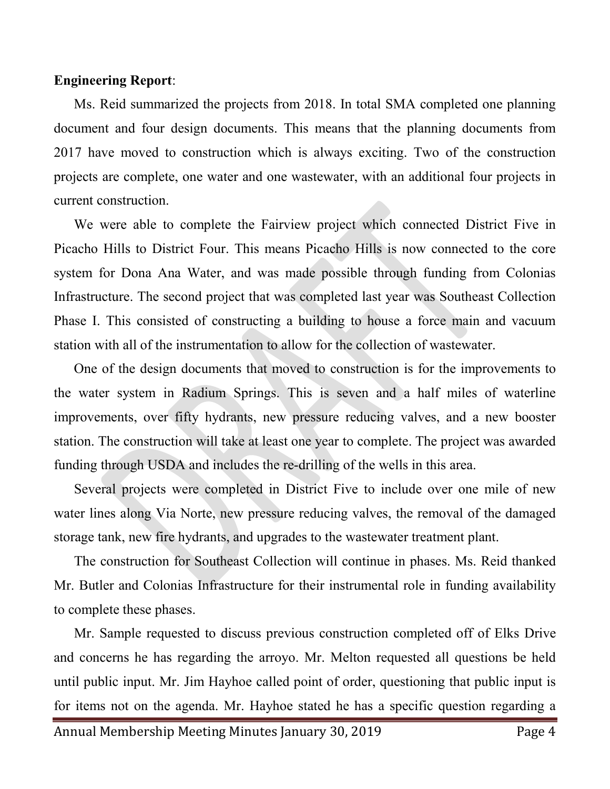#### **Engineering Report**:

Ms. Reid summarized the projects from 2018. In total SMA completed one planning document and four design documents. This means that the planning documents from 2017 have moved to construction which is always exciting. Two of the construction projects are complete, one water and one wastewater, with an additional four projects in current construction.

We were able to complete the Fairview project which connected District Five in Picacho Hills to District Four. This means Picacho Hills is now connected to the core system for Dona Ana Water, and was made possible through funding from Colonias Infrastructure. The second project that was completed last year was Southeast Collection Phase I. This consisted of constructing a building to house a force main and vacuum station with all of the instrumentation to allow for the collection of wastewater.

One of the design documents that moved to construction is for the improvements to the water system in Radium Springs. This is seven and a half miles of waterline improvements, over fifty hydrants, new pressure reducing valves, and a new booster station. The construction will take at least one year to complete. The project was awarded funding through USDA and includes the re-drilling of the wells in this area.

Several projects were completed in District Five to include over one mile of new water lines along Via Norte, new pressure reducing valves, the removal of the damaged storage tank, new fire hydrants, and upgrades to the wastewater treatment plant.

The construction for Southeast Collection will continue in phases. Ms. Reid thanked Mr. Butler and Colonias Infrastructure for their instrumental role in funding availability to complete these phases.

Mr. Sample requested to discuss previous construction completed off of Elks Drive and concerns he has regarding the arroyo. Mr. Melton requested all questions be held until public input. Mr. Jim Hayhoe called point of order, questioning that public input is for items not on the agenda. Mr. Hayhoe stated he has a specific question regarding a

Annual Membership Meeting Minutes January 30, 2019 Page 4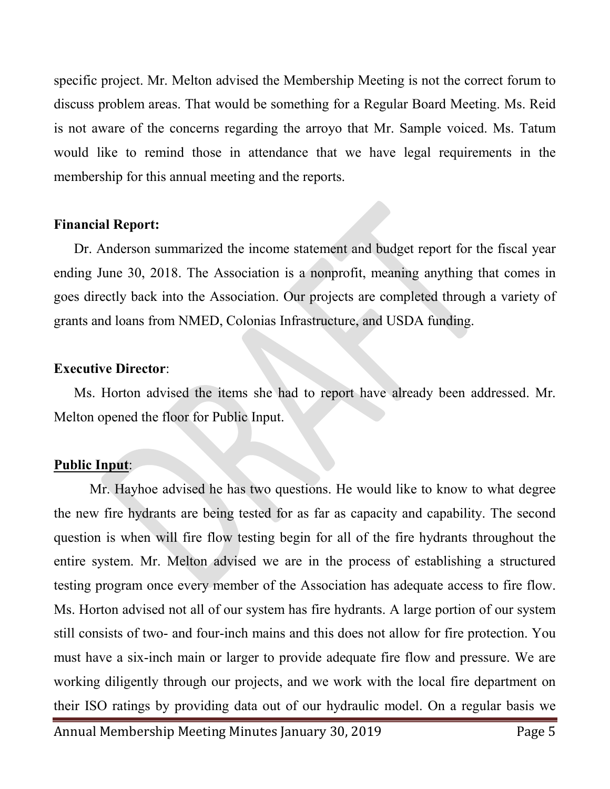specific project. Mr. Melton advised the Membership Meeting is not the correct forum to discuss problem areas. That would be something for a Regular Board Meeting. Ms. Reid is not aware of the concerns regarding the arroyo that Mr. Sample voiced. Ms. Tatum would like to remind those in attendance that we have legal requirements in the membership for this annual meeting and the reports.

#### **Financial Report:**

Dr. Anderson summarized the income statement and budget report for the fiscal year ending June 30, 2018. The Association is a nonprofit, meaning anything that comes in goes directly back into the Association. Our projects are completed through a variety of grants and loans from NMED, Colonias Infrastructure, and USDA funding.

## **Executive Director**:

Ms. Horton advised the items she had to report have already been addressed. Mr. Melton opened the floor for Public Input.

# **Public Input**:

Mr. Hayhoe advised he has two questions. He would like to know to what degree the new fire hydrants are being tested for as far as capacity and capability. The second question is when will fire flow testing begin for all of the fire hydrants throughout the entire system. Mr. Melton advised we are in the process of establishing a structured testing program once every member of the Association has adequate access to fire flow. Ms. Horton advised not all of our system has fire hydrants. A large portion of our system still consists of two- and four-inch mains and this does not allow for fire protection. You must have a six-inch main or larger to provide adequate fire flow and pressure. We are working diligently through our projects, and we work with the local fire department on their ISO ratings by providing data out of our hydraulic model. On a regular basis we

Annual Membership Meeting Minutes January 30, 2019 Page 5